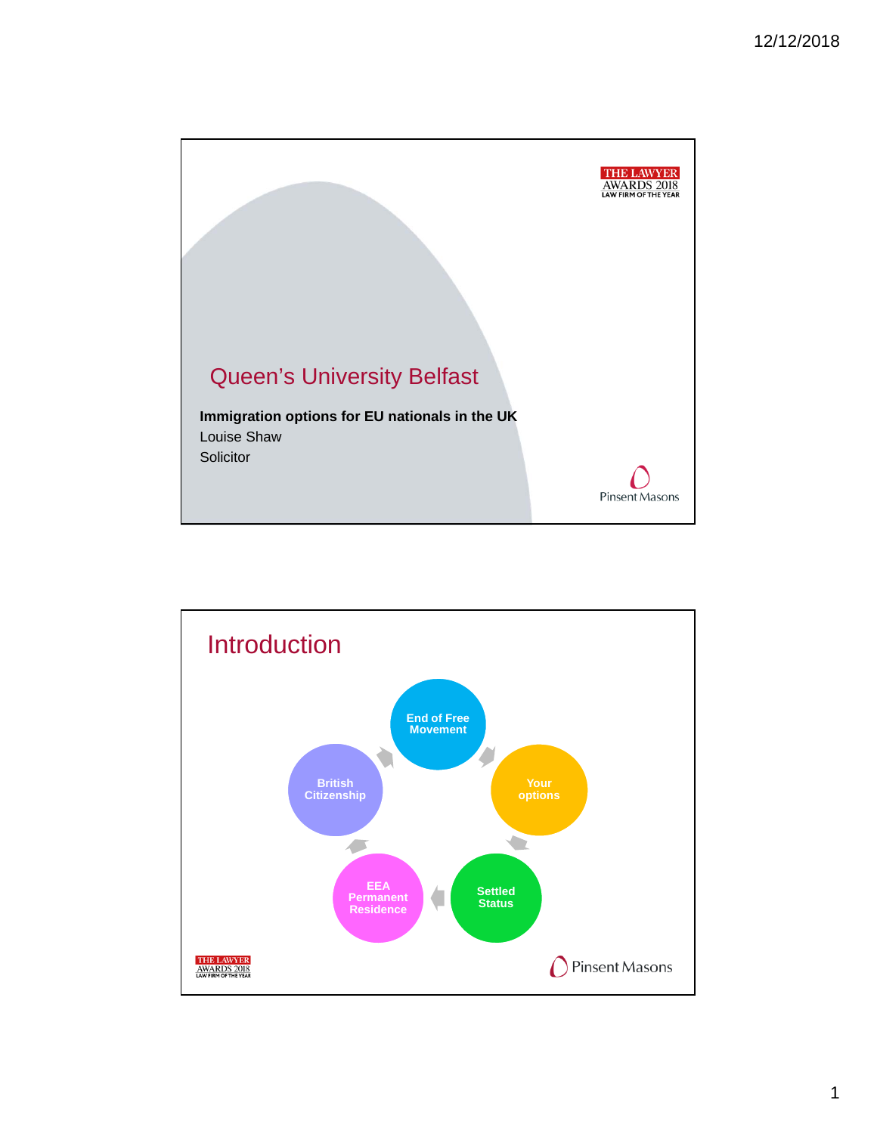

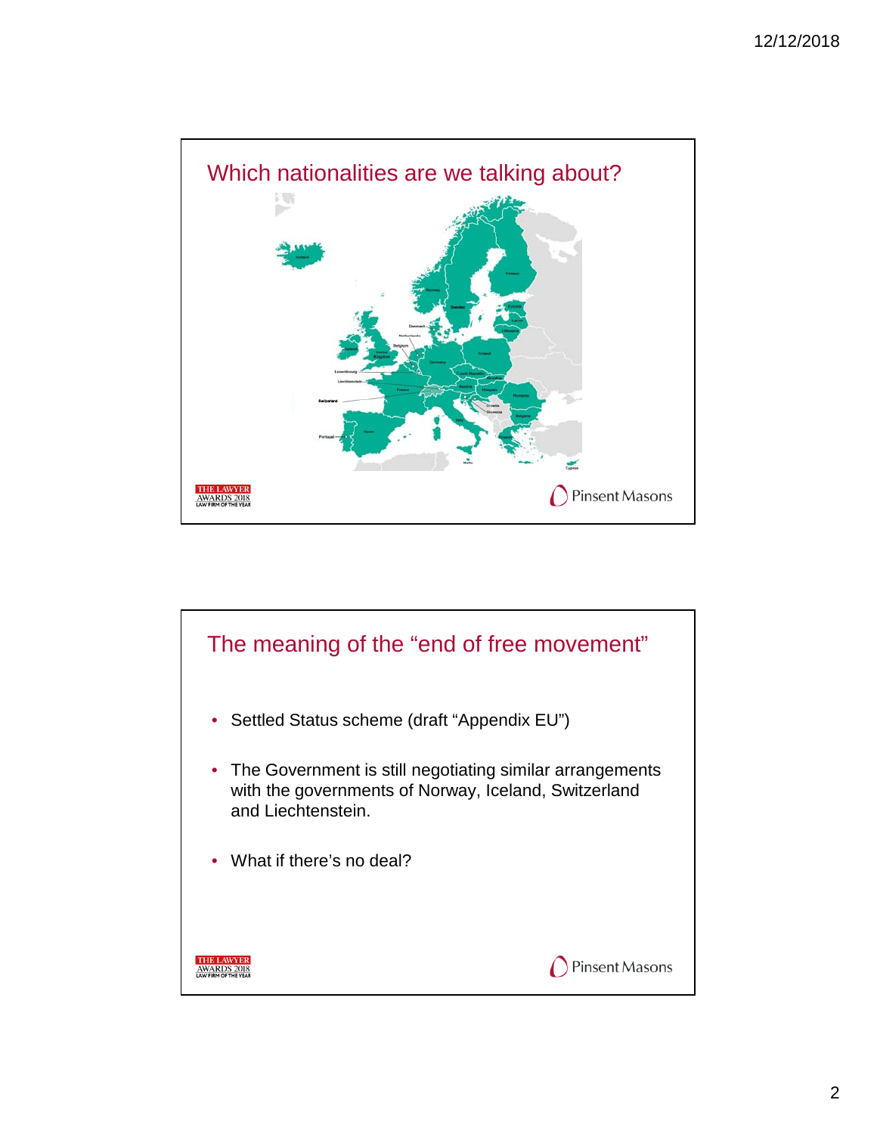

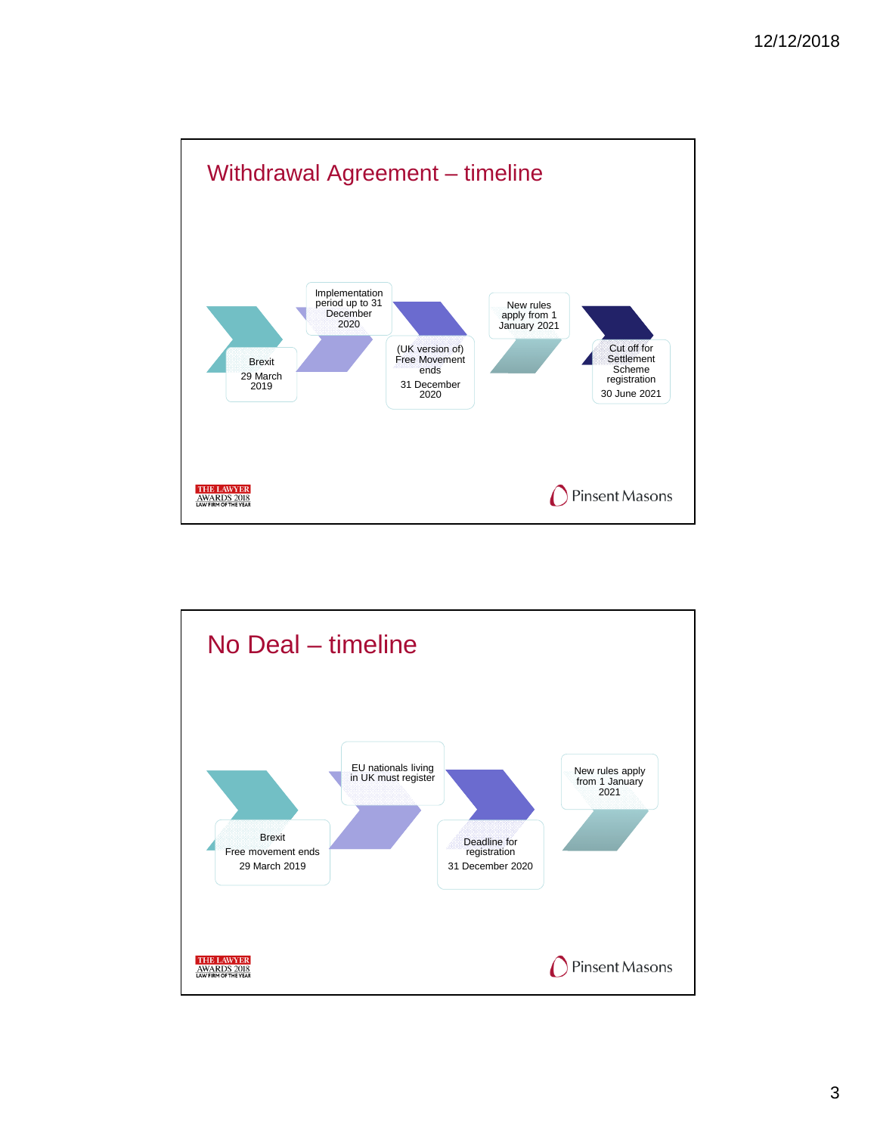

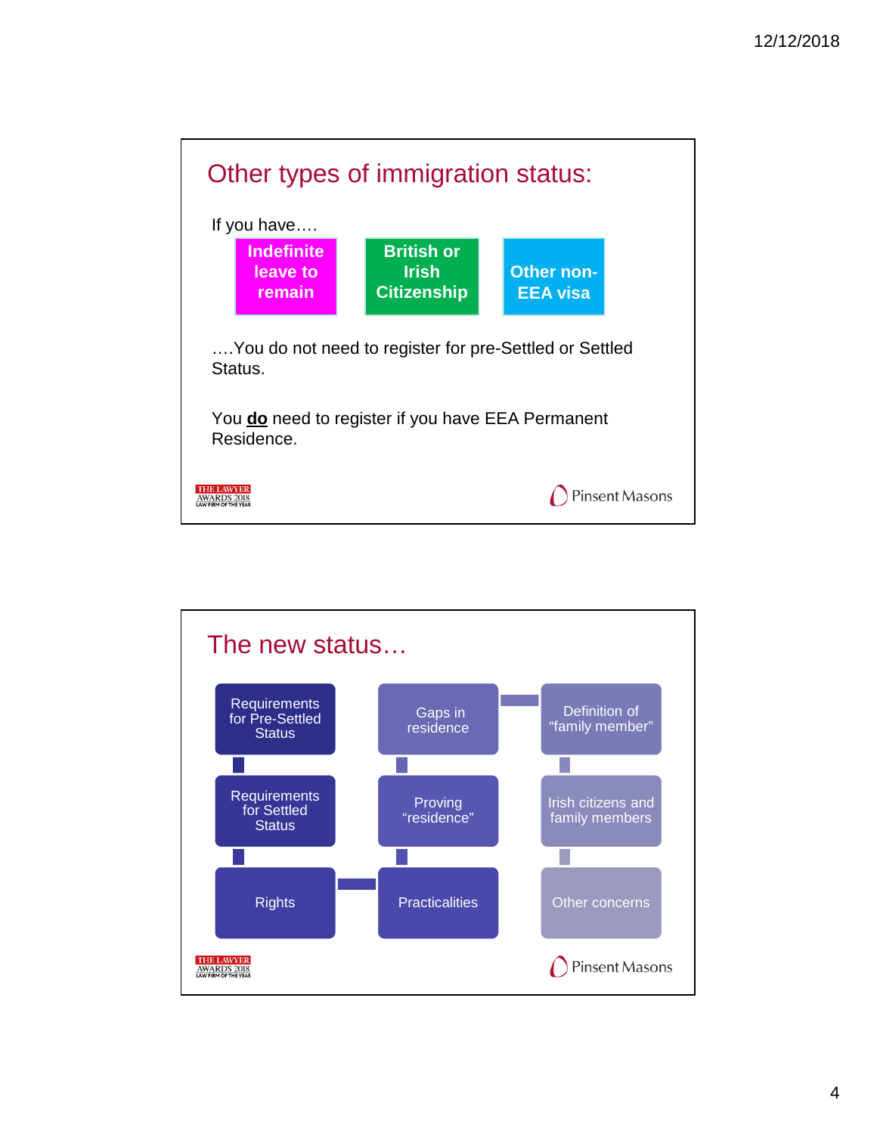

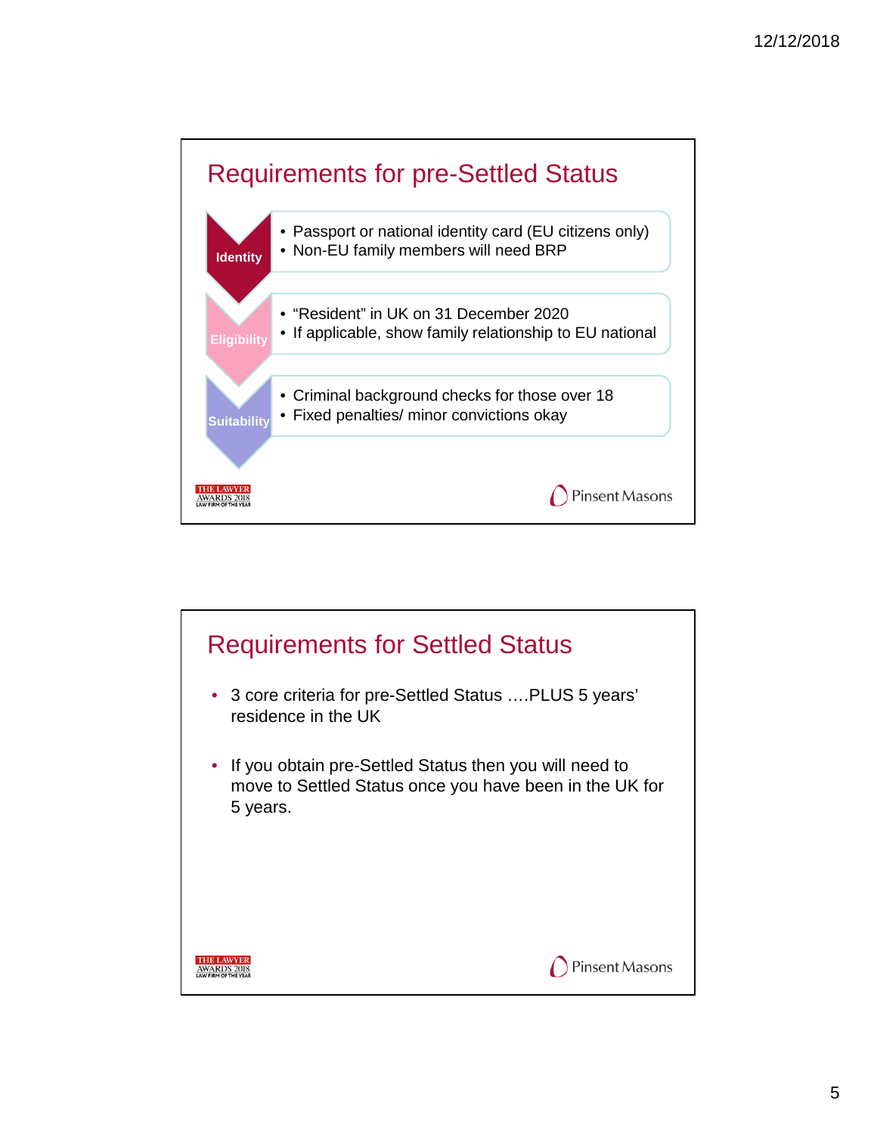

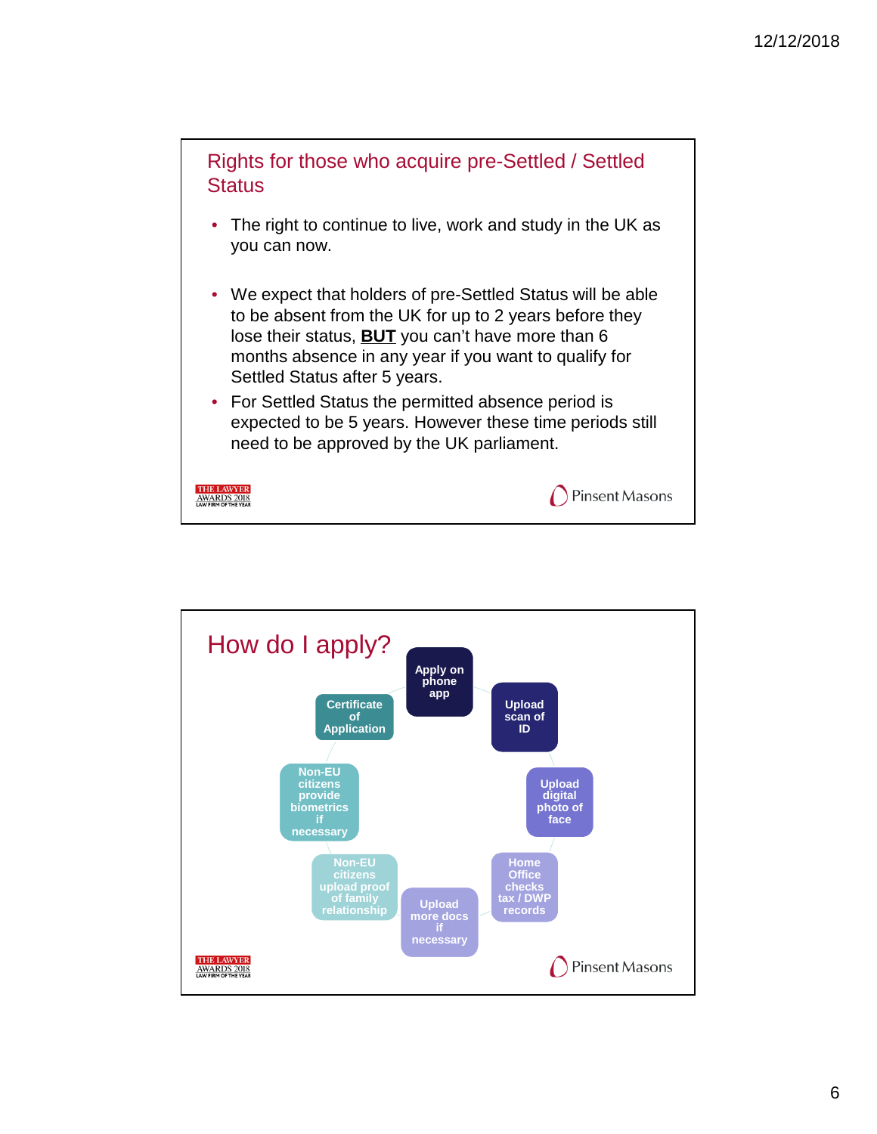

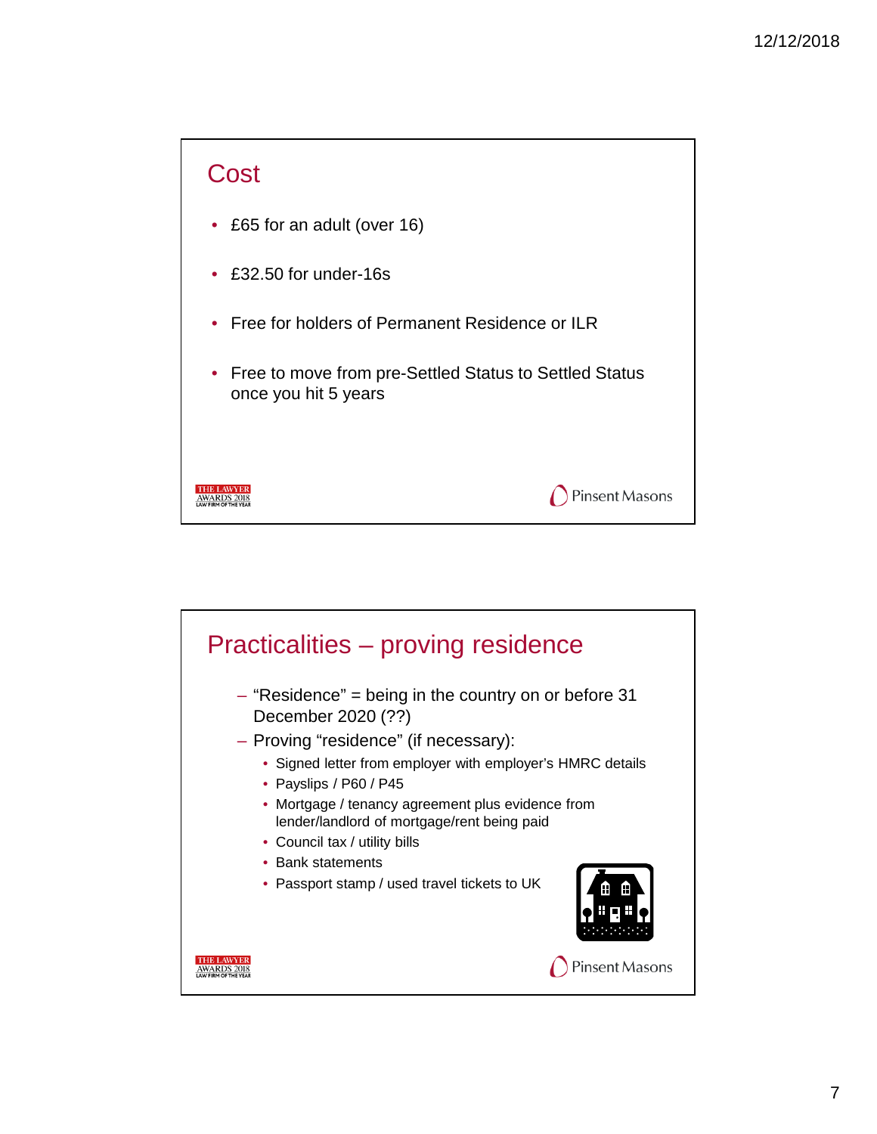

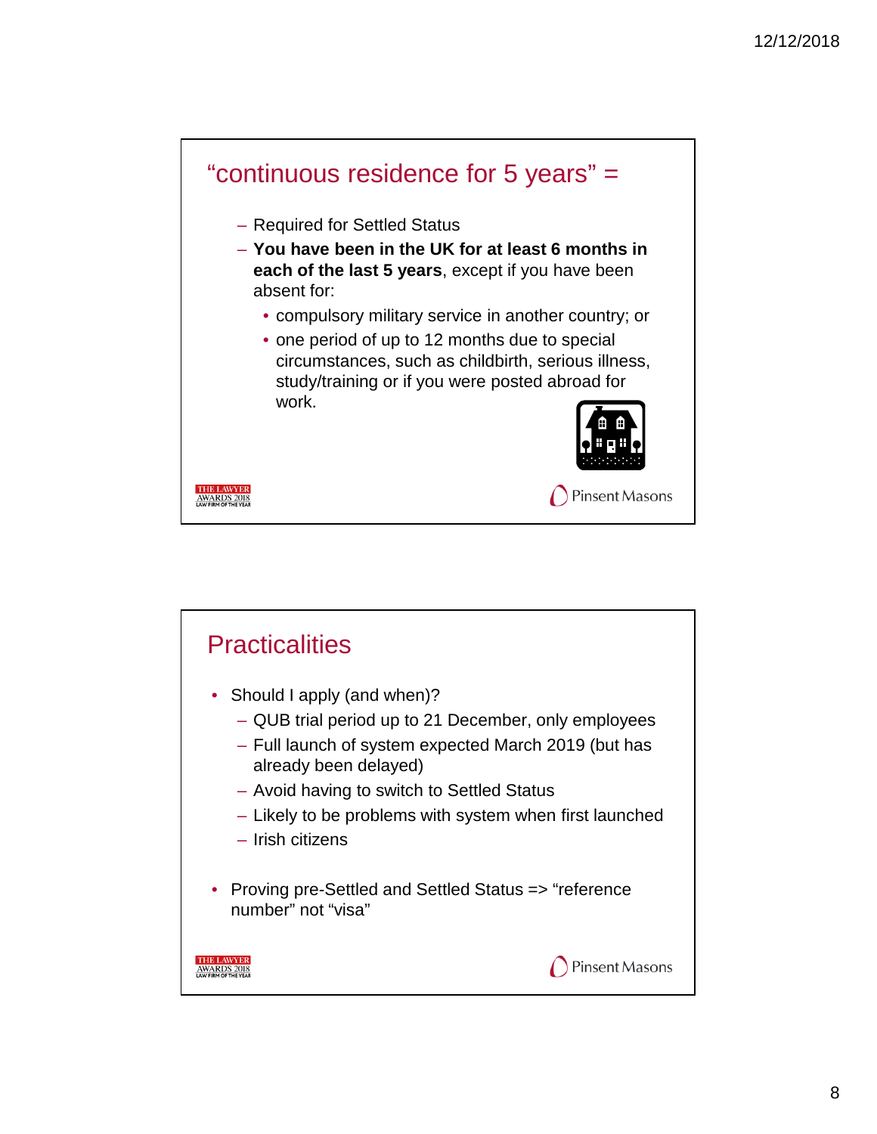

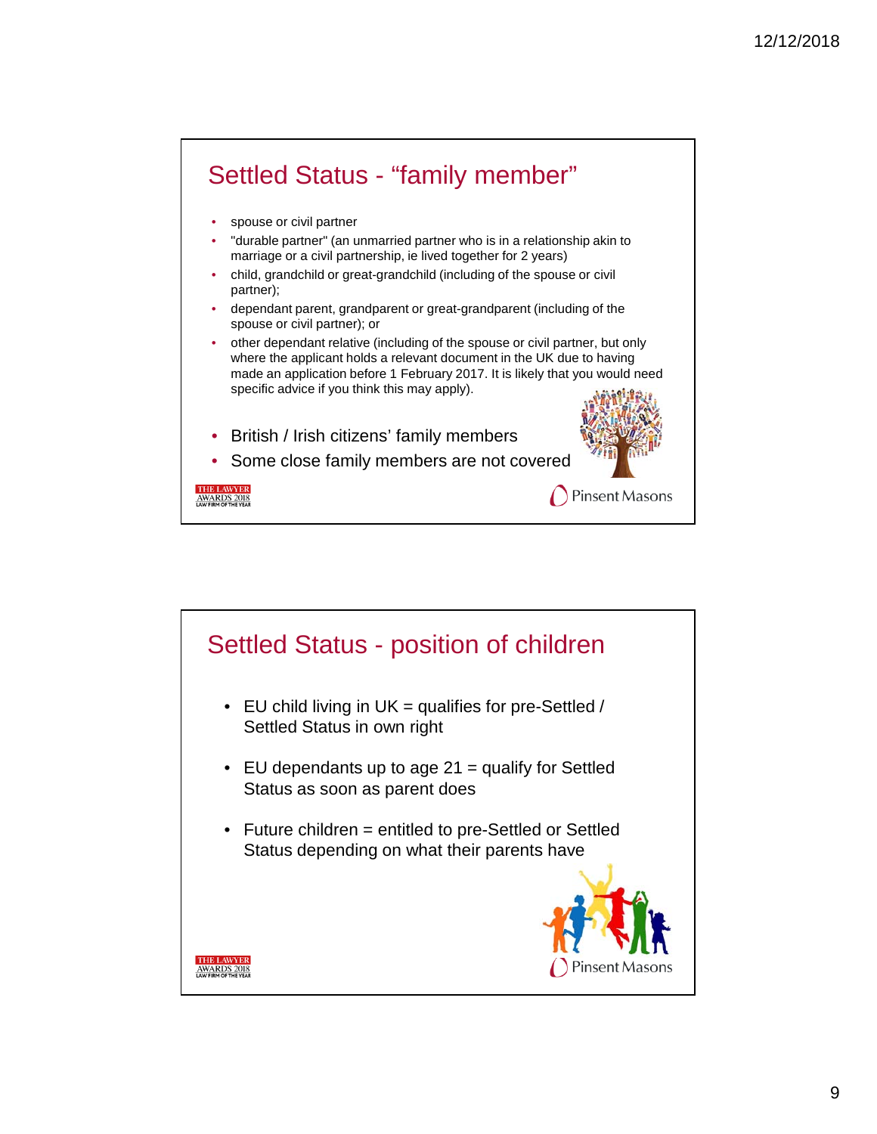

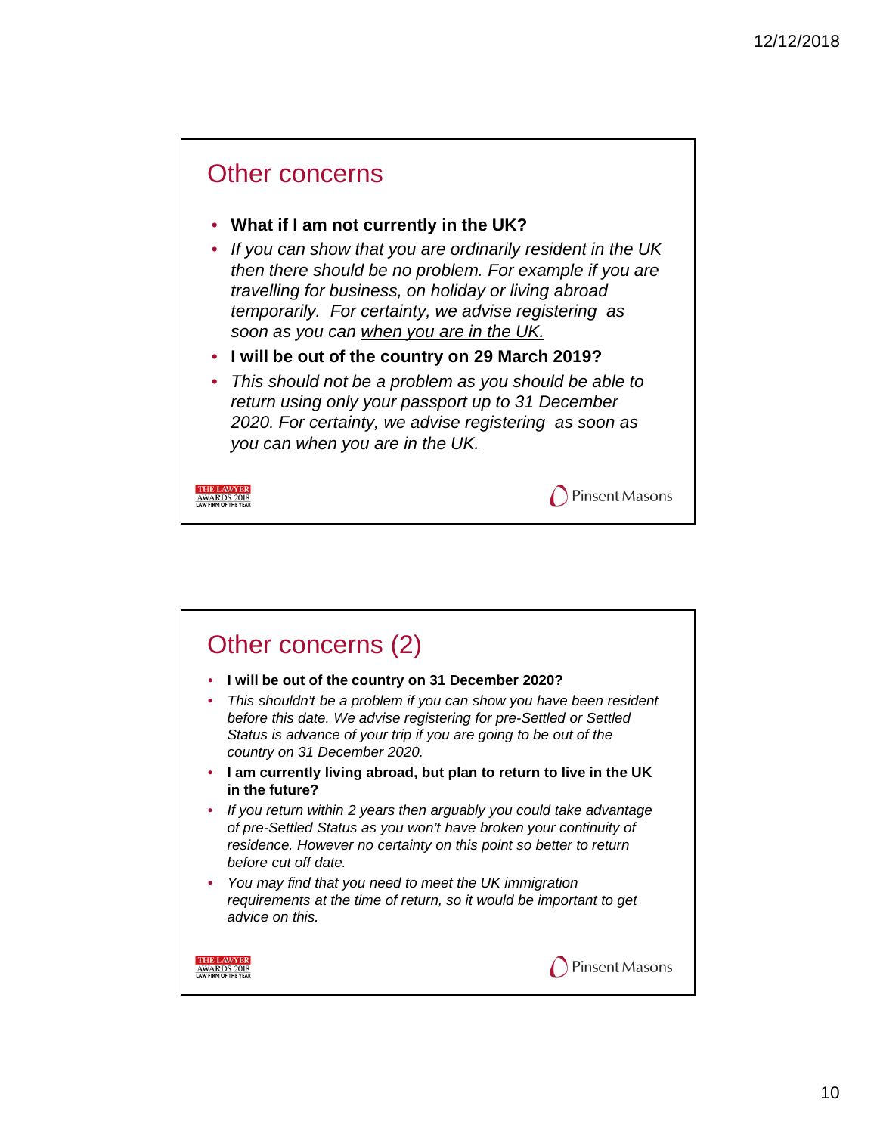

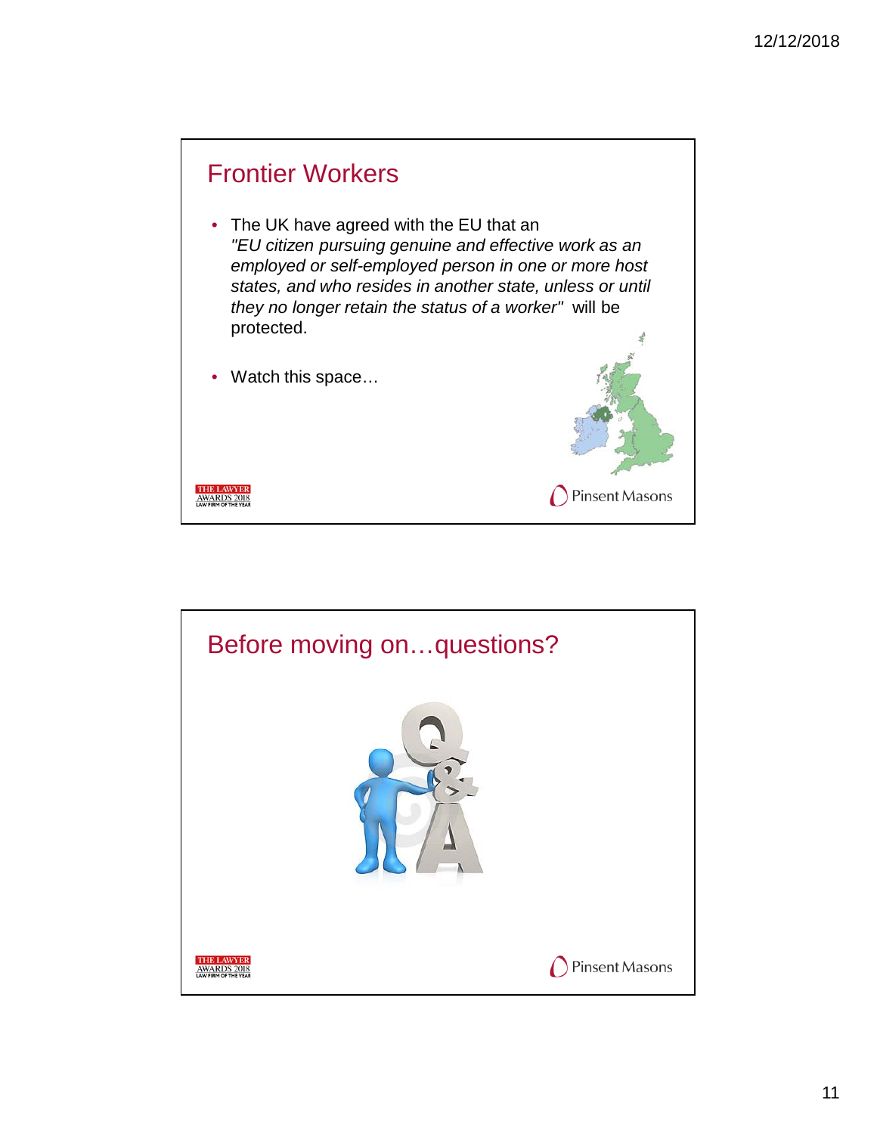

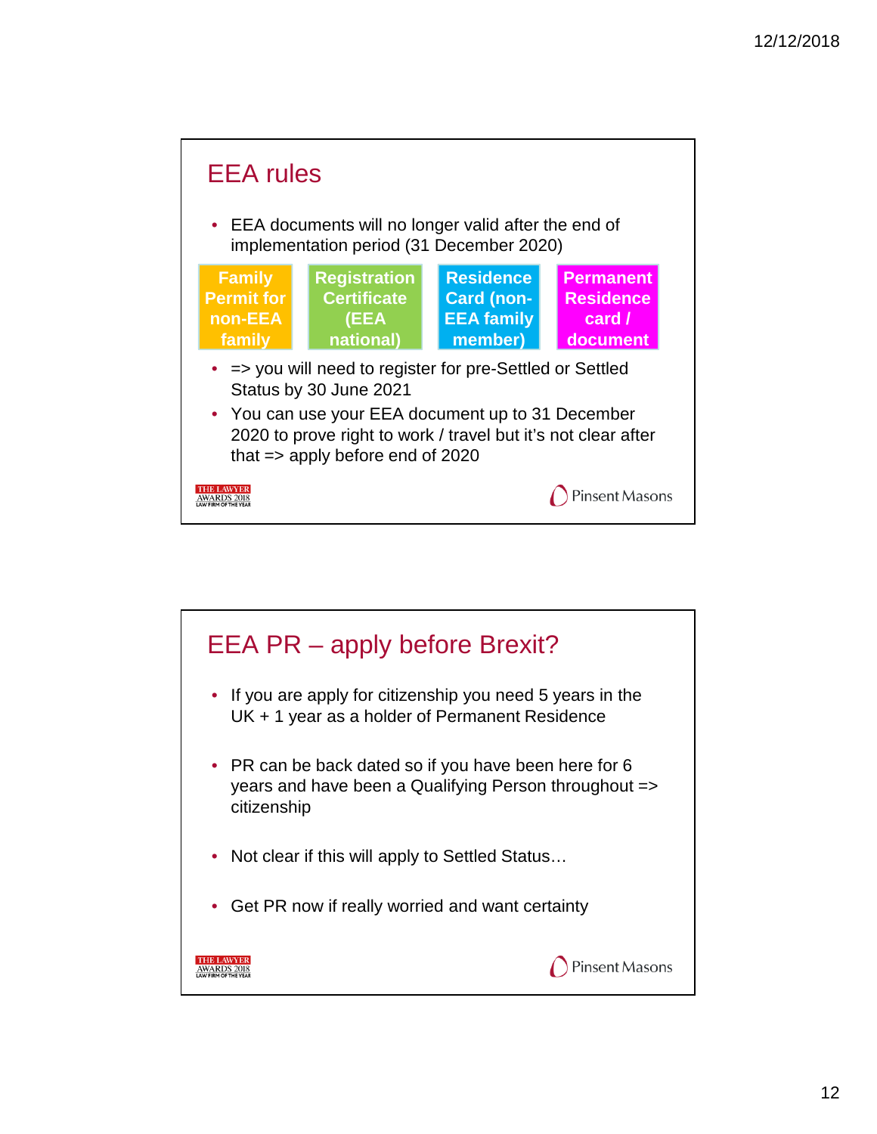

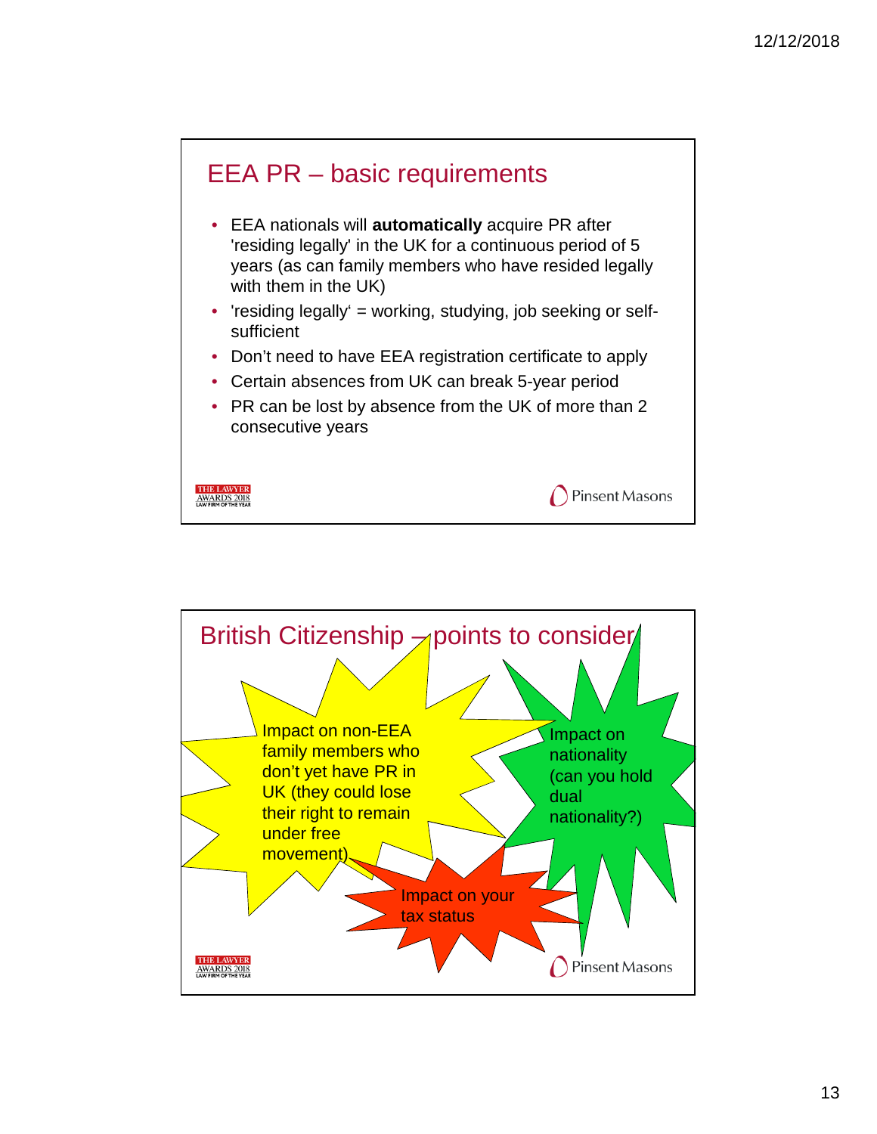

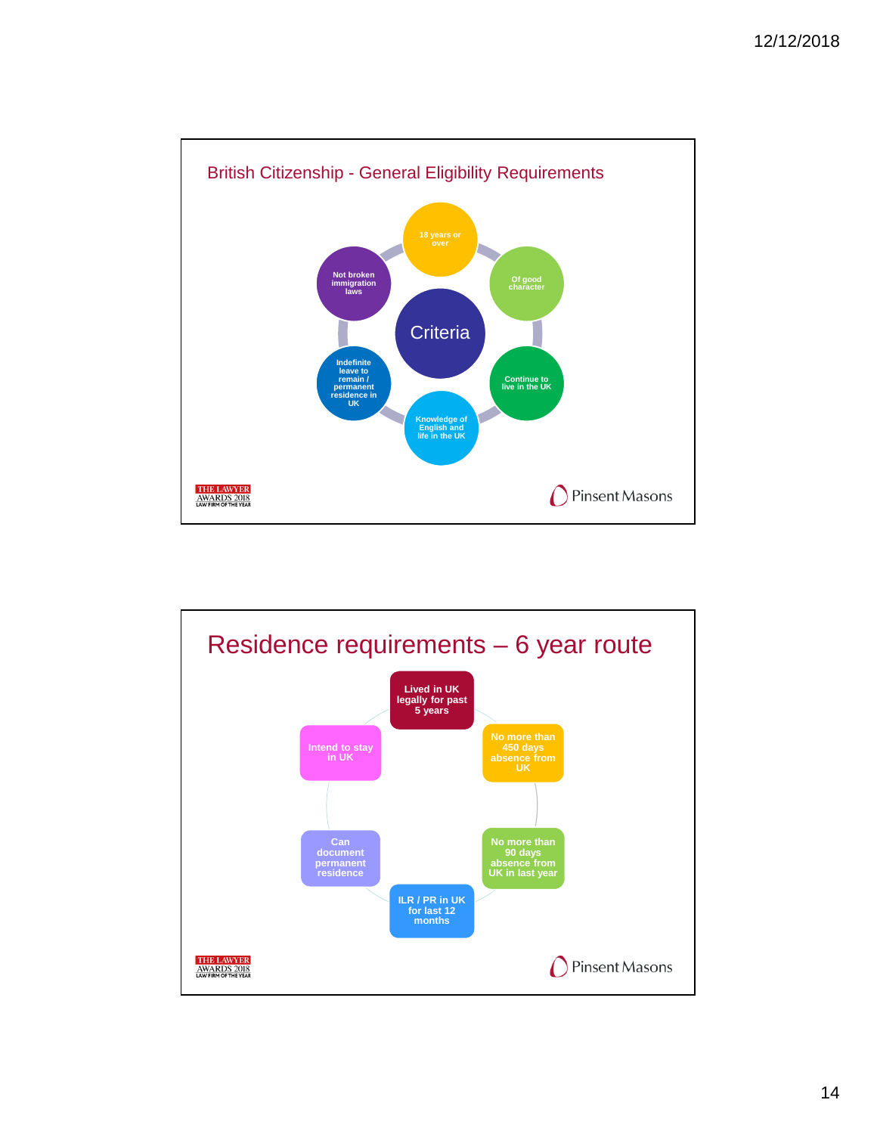

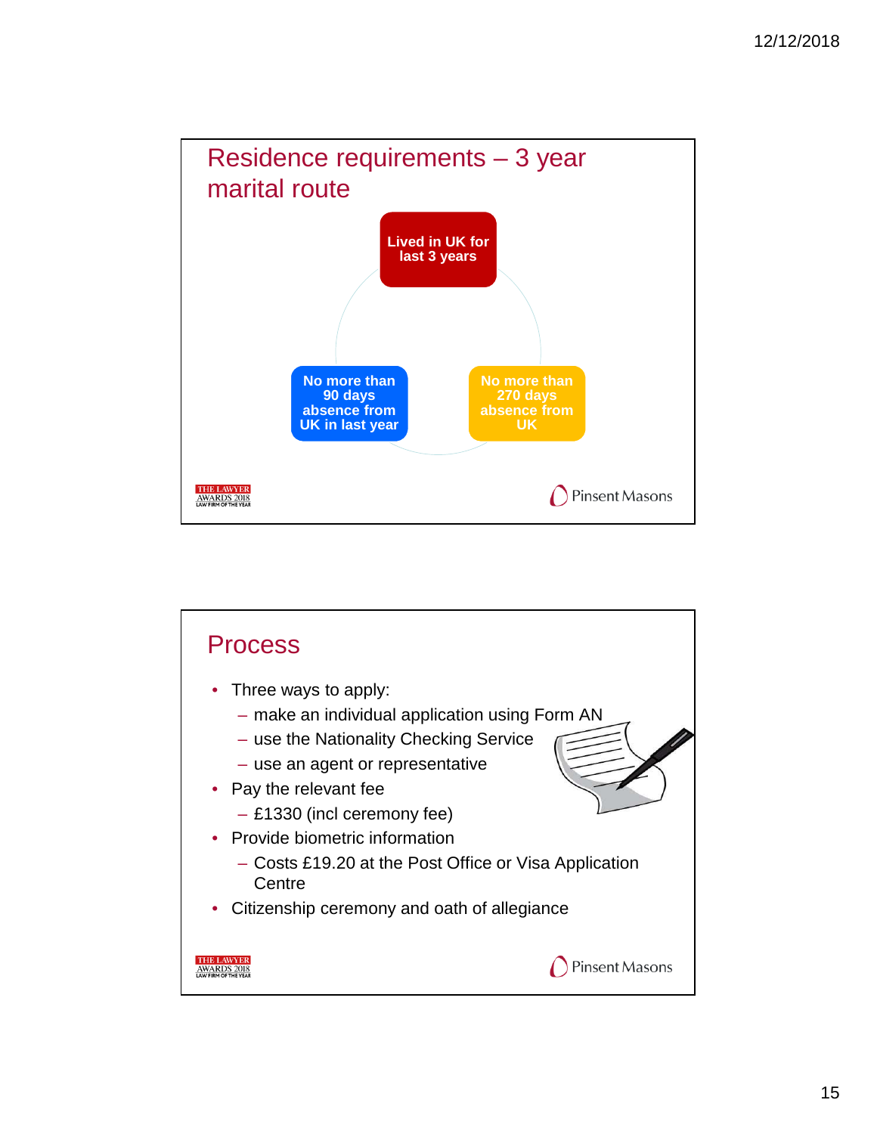

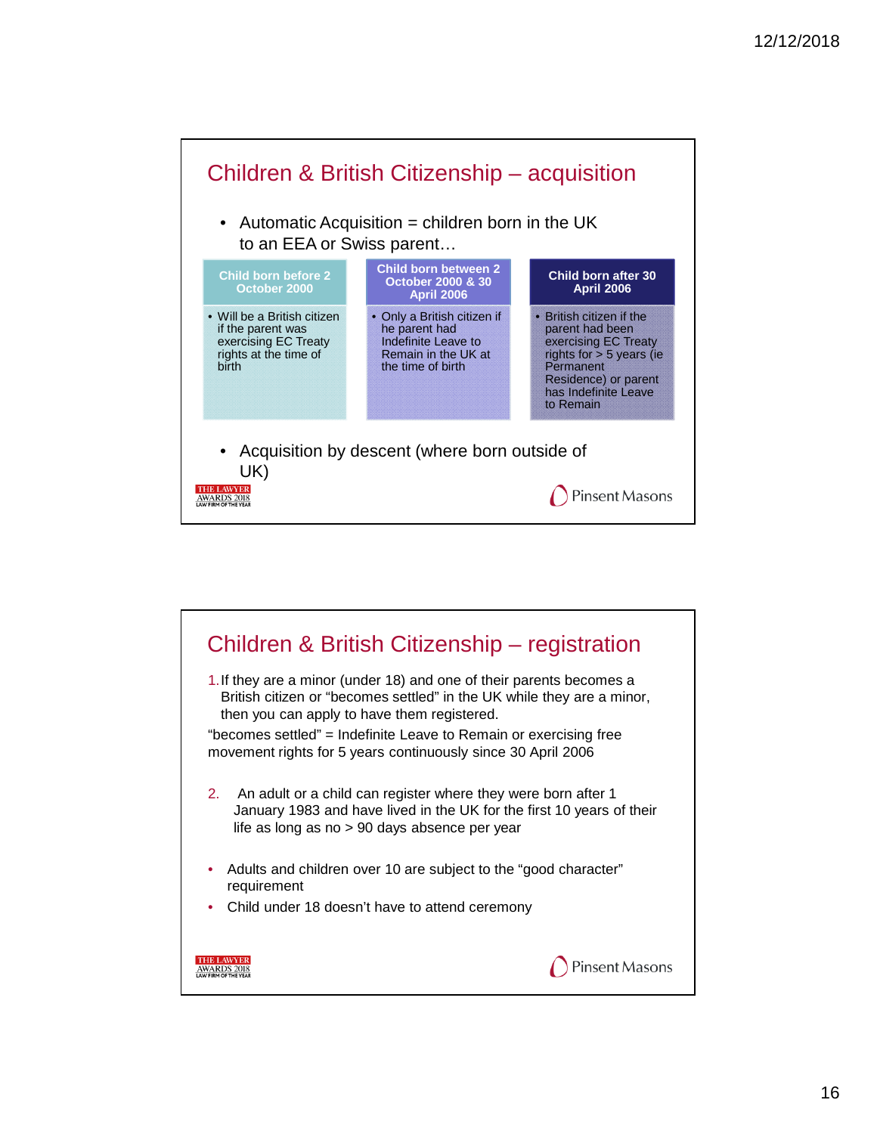

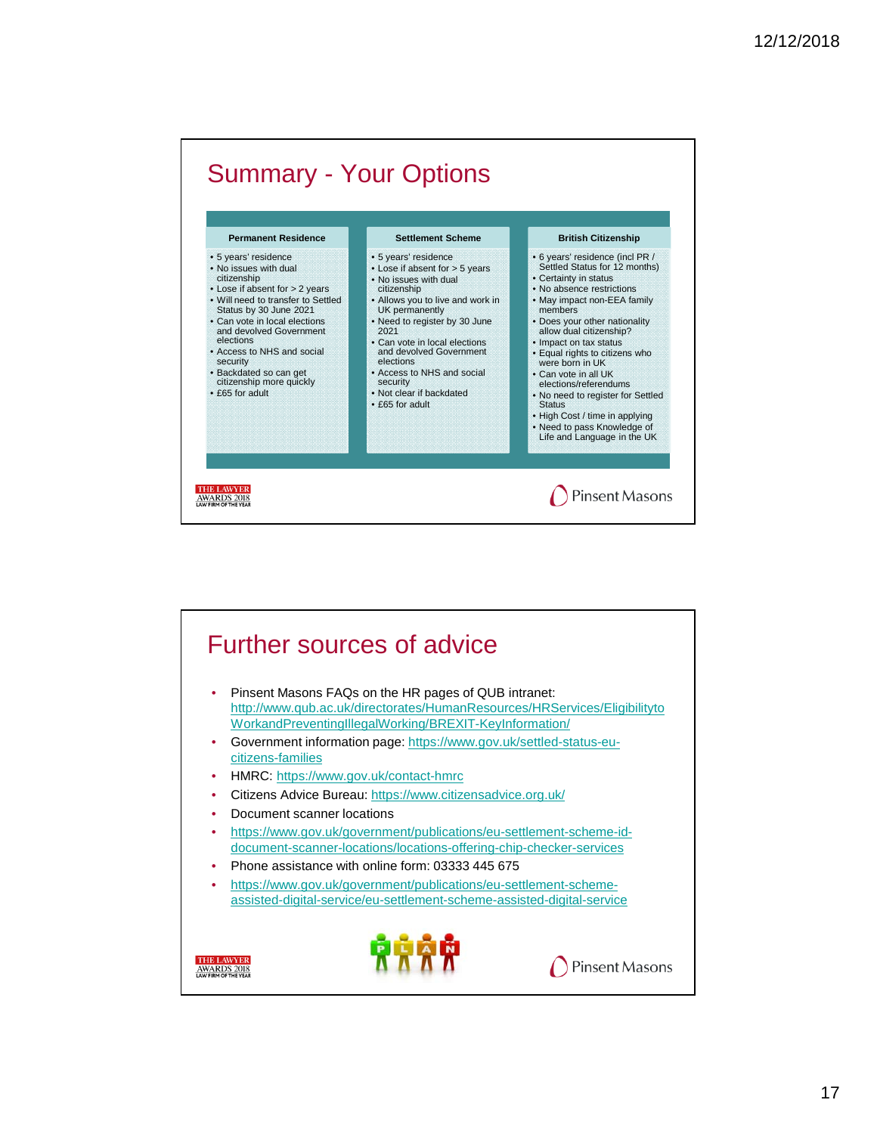